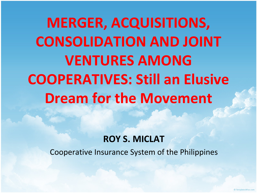**MERGER, ACQUISITIONS, CONSOLIDATION AND JOINT VENTURES AMONG COOPERATIVES: Still an Elusive Dream for the Movement**

#### **ROY S. MICLAT**

Cooperative Insurance System of the Philippines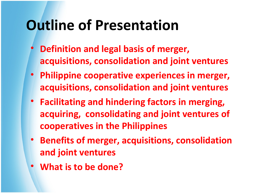# **Outline of Presentation**

- **Definition and legal basis of merger, acquisitions, consolidation and joint ventures**
- **Philippine cooperative experiences in merger, acquisitions, consolidation and joint ventures**
- **Facilitating and hindering factors in merging, acquiring, consolidating and joint ventures of cooperatives in the Philippines**
- **Benefits of merger, acquisitions, consolidation and joint ventures**
- **What is to be done?**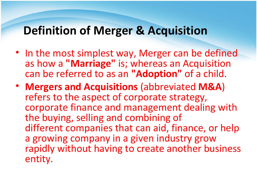#### **Definition of Merger & Acquisition**

- In the most simplest way, Merger can be defined as how a **"Marriage"** is; whereas an Acquisition can be referred to as an **"Adoption"** of a child.
- **Mergers and Acquisitions** (abbreviated **M&A**) refers to the aspect of corporate strategy, corporate finance and management dealing with the buying, selling and combining of different companies that can aid, finance, or help a growing company in a given industry grow rapidly without having to create another business entity.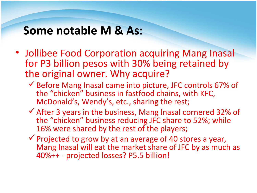#### **Some notable M & As:**

- Jollibee Food Corporation acquiring Mang Inasal for P3 billion pesos with 30% being retained by the original owner. Why acquire?
	- $\checkmark$  Before Mang Inasal came into picture, JFC controls 67% of the "chicken" business in fastfood chains, with KFC, McDonald's, Wendy's, etc., sharing the rest;
	- $\checkmark$  After 3 years in the business, Mang Inasal cornered 32% of the "chicken" business reducing JFC share to 52%; while 16% were shared by the rest of the players;
	- $\checkmark$  Projected to grow by at an average of 40 stores a year, Mang Inasal will eat the market share of JFC by as much as 40%++ - projected losses? P5.5 billion!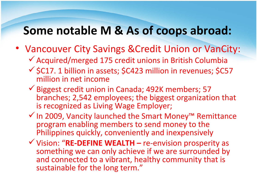#### **Some notable M & As of coops abroad:**

- Vancouver City Savings &Credit Union or VanCity:
	- $\checkmark$  Acquired/merged 175 credit unions in British Columbia
	- $\checkmark$  \$C17. 1 billion in assets; \$C423 million in revenues; \$C57 million in net income
	- Biggest credit union in Canada; 492K members; 57 branches; 2,542 employees; the biggest organization that is recognized as Living Wage Employer;
	- In 2009, Vancity launched the Smart Money™ Remittance program enabling members to send money to the Philippines quickly, conveniently and inexpensively
	- Vision: "**RE-DEFINE WEALTH** re-envision prosperity as something we can only achieve if we are surrounded by and connected to a vibrant, healthy community that is sustainable for the long term."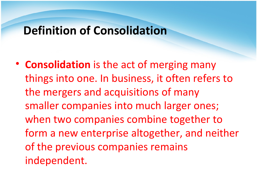#### **Definition of Consolidation**

• **Consolidation** is the act of merging many things into one. In business, it often refers to the mergers and acquisitions of many smaller companies into much larger ones; when two companies combine together to form a new enterprise altogether, and neither of the previous companies remains independent.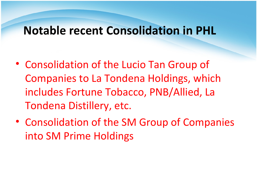#### **Notable recent Consolidation in PHL**

- Consolidation of the Lucio Tan Group of Companies to La Tondena Holdings, which includes Fortune Tobacco, PNB/Allied, La Tondena Distillery, etc.
- Consolidation of the SM Group of Companies into SM Prime Holdings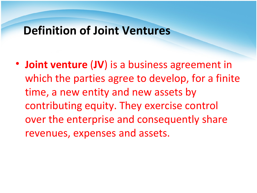#### **Definition of Joint Ventures**

• **Joint venture** (**JV**) is a business agreement in which the parties agree to develop, for a finite time, a new entity and new assets by contributing equity. They exercise control over the enterprise and consequently share revenues, expenses and assets.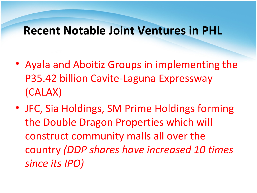#### **Recent Notable Joint Ventures in PHL**

- Ayala and Aboitiz Groups in implementing the P35.42 billion Cavite-Laguna Expressway (CALAX)
- JFC, Sia Holdings, SM Prime Holdings forming the Double Dragon Properties which will construct community malls all over the country *(DDP shares have increased 10 times since its IPO)*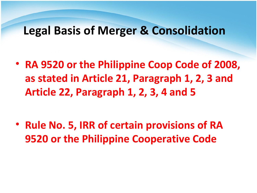#### **Legal Basis of Merger & Consolidation**

• **RA 9520 or the Philippine Coop Code of 2008, as stated in Article 21, Paragraph 1, 2, 3 and Article 22, Paragraph 1, 2, 3, 4 and 5**

• **Rule No. 5, IRR of certain provisions of RA 9520 or the Philippine Cooperative Code**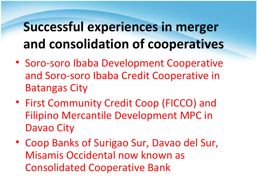### **Successful experiences in merger and consolidation of cooperatives**

- Soro-soro Ibaba Development Cooperative and Soro-soro Ibaba Credit Cooperative in Batangas City
- First Community Credit Coop (FICCO) and Filipino Mercantile Development MPC in Davao City
- Coop Banks of Surigao Sur, Davao del Sur, Misamis Occidental now known as Consolidated Cooperative Bank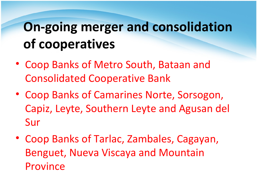# **On-going merger and consolidation of cooperatives**

- Coop Banks of Metro South, Bataan and Consolidated Cooperative Bank
- Coop Banks of Camarines Norte, Sorsogon, Capiz, Leyte, Southern Leyte and Agusan del Sur
- Coop Banks of Tarlac, Zambales, Cagayan, Benguet, Nueva Viscaya and Mountain Province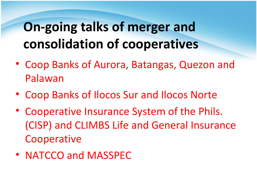# **On-going talks of merger and consolidation of cooperatives**

- Coop Banks of Aurora, Batangas, Quezon and Palawan
- Coop Banks of Ilocos Sur and Ilocos Norte
- Cooperative Insurance System of the Phils. (CISP) and CLIMBS Life and General Insurance Cooperative
- NATCCO and MASSPEC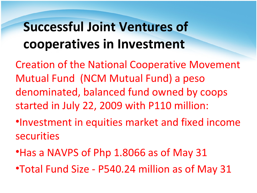# **Successful Joint Ventures of cooperatives in Investment**

Creation of the National Cooperative Movement Mutual Fund (NCM Mutual Fund) a peso denominated, balanced fund owned by coops started in July 22, 2009 with P110 million:

- •Investment in equities market and fixed income securities
- •Has a NAVPS of Php 1.8066 as of May 31
- •Total Fund Size P540.24 million as of May 31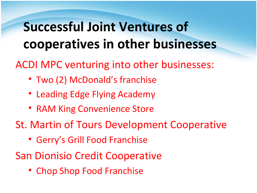### **Successful Joint Ventures of cooperatives in other businesses**

ACDI MPC venturing into other businesses:

- Two (2) McDonald's franchise
- Leading Edge Flying Academy
- RAM King Convenience Store
- St. Martin of Tours Development Cooperative
	- Gerry's Grill Food Franchise
- San Dionisio Credit Cooperative
	- Chop Shop Food Franchise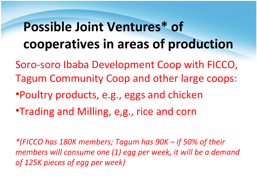### **Possible Joint Ventures\* of cooperatives in areas of production**

- Soro-soro Ibaba Development Coop with FICCO, Tagum Community Coop and other large coops:
- •Poultry products, e.g., eggs and chicken
- •Trading and Milling, e,g., rice and corn

*\*(FICCO has 180K members; Tagum has 90K – if 50% of their members will consume one (1) egg per week, it will be a demand of 125K pieces of egg per week)*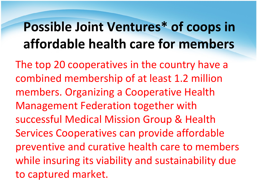### **Possible Joint Ventures\* of coops in affordable health care for members**

The top 20 cooperatives in the country have a combined membership of at least 1.2 million members. Organizing a Cooperative Health Management Federation together with successful Medical Mission Group & Health Services Cooperatives can provide affordable preventive and curative health care to members while insuring its viability and sustainability due to captured market.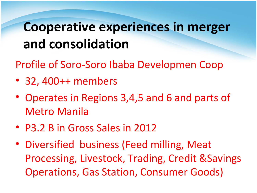Profile of Soro-Soro Ibaba Developmen Coop

- 32, 400++ members
- Operates in Regions 3,4,5 and 6 and parts of Metro Manila
- P3.2 B in Gross Sales in 2012
- Diversified business (Feed milling, Meat Processing, Livestock, Trading, Credit &Savings Operations, Gas Station, Consumer Goods)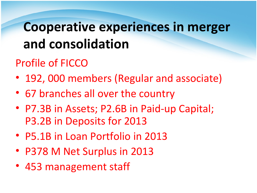#### Profile of FICCO

- 192, 000 members (Regular and associate)
- 67 branches all over the country
- P7.3B in Assets; P2.6B in Paid-up Capital; P3.2B in Deposits for 2013
- P5.1B in Loan Portfolio in 2013
- P378 M Net Surplus in 2013
- 453 management staff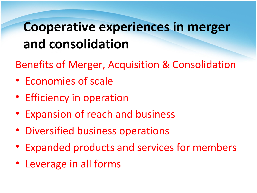Benefits of Merger, Acquisition & Consolidation

- Economies of scale
- Efficiency in operation
- Expansion of reach and business
- Diversified business operations
- Expanded products and services for members
- Leverage in all forms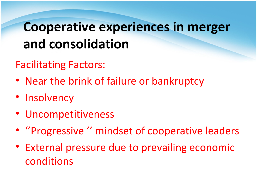#### Facilitating Factors:

- Near the brink of failure or bankruptcy
- Insolvency
- Uncompetitiveness
- ''Progressive '' mindset of cooperative leaders
- External pressure due to prevailing economic conditions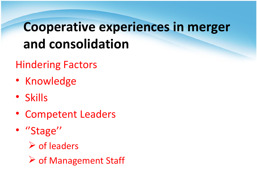#### Hindering Factors

- Knowledge
- Skills
- Competent Leaders
- "Stage"
	- $\triangleright$  of leaders
	- **▶ of Management Staff**